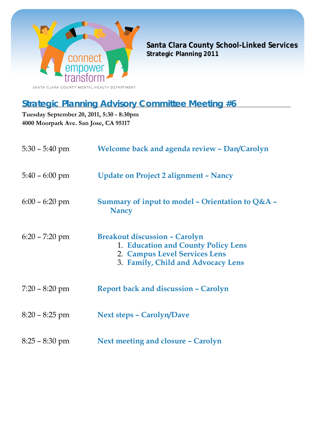

**Santa Clara County School-Linked Services Strategic Planning 2011**

# **Strategic Planning Advisory Committee Meeting #6**

**Tuesday September 20, 2011, 5:30 - 8:30pm 4000 Moorpark Ave. San Jose, CA 95117**

| $5:30 - 5:40$ pm | <b>Welcome back and agenda review - Dan/Carolyn</b>                                                                                                |
|------------------|----------------------------------------------------------------------------------------------------------------------------------------------------|
| $5:40 - 6:00$ pm | <b>Update on Project 2 alignment - Nancy</b>                                                                                                       |
| $6:00 - 6:20$ pm | Summary of input to model - Orientation to $Q&A$ -<br><b>Nancy</b>                                                                                 |
| $6:20 - 7:20$ pm | <b>Breakout discussion - Carolyn</b><br>1. Education and County Policy Lens<br>2. Campus Level Services Lens<br>3. Family, Child and Advocacy Lens |
| $7:20 - 8:20$ pm | <b>Report back and discussion - Carolyn</b>                                                                                                        |
| $8:20 - 8:25$ pm | <b>Next steps - Carolyn/Dave</b>                                                                                                                   |
| $8:25 - 8:30$ pm | Next meeting and closure - Carolyn                                                                                                                 |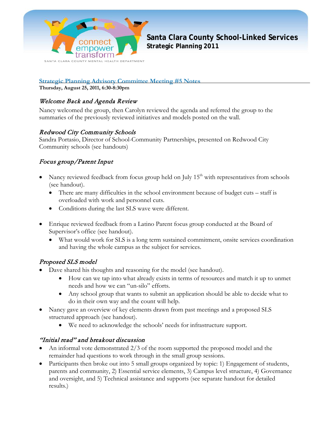

**Santa Clara County School-Linked Services Strategic Planning 2011**

**Strategic Planning Advisory Committee Meeting #5 Notes**

**Thursday, August 25, 2011, 6:30-8:30pm** 

#### Welcome Back and Agenda Review

Nancy welcomed the group, then Carolyn reviewed the agenda and referred the group to the summaries of the previously reviewed initiatives and models posted on the wall.

#### Redwood City Community Schools

Sandra Portasio, Director of School-Community Partnerships, presented on Redwood City Community schools (see handouts)

#### Focus group/Parent Input

- Nancy reviewed feedback from focus group held on July  $15<sup>th</sup>$  with representatives from schools (see handout).
	- There are many difficulties in the school environment because of budget cuts staff is overloaded with work and personnel cuts.
	- Conditions during the last SLS wave were different.
- Enrique reviewed feedback from a Latino Parent focus group conducted at the Board of Supervisor's office (see handout).
	- What would work for SLS is a long term sustained commitment, onsite services coordination and having the whole campus as the subject for services.

#### Proposed SLS model

- Dave shared his thoughts and reasoning for the model (see handout).
	- How can we tap into what already exists in terms of resources and match it up to unmet needs and how we can "un-silo" efforts.
	- Any school group that wants to submit an application should be able to decide what to do in their own way and the count will help.
- Nancy gave an overview of key elements drawn from past meetings and a proposed SLS structured approach (see handout).
	- We need to acknowledge the schools' needs for infrastructure support.

#### "Initial read" and breakout discussion

- An informal vote demonstrated 2/3 of the room supported the proposed model and the remainder had questions to work through in the small group sessions.
- Participants then broke out into 5 small groups organized by topic: 1) Engagement of students, parents and community, 2) Essential service elements, 3) Campus level structure, 4) Governance and oversight, and 5) Technical assistance and supports (see separate handout for detailed results.)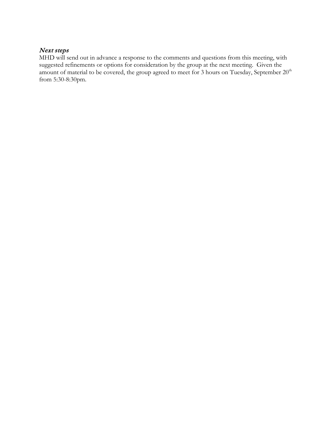#### Next steps

MHD will send out in advance a response to the comments and questions from this meeting, with suggested refinements or options for consideration by the group at the next meeting. Given the amount of material to be covered, the group agreed to meet for 3 hours on Tuesday, September  $20<sup>th</sup>$ from 5:30-8:30pm.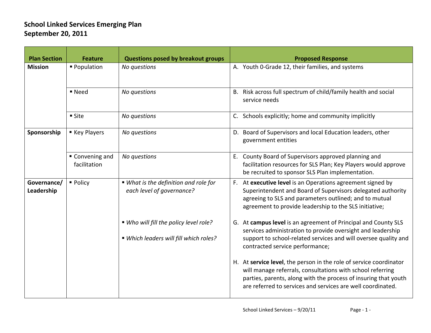| <b>Plan Section</b>       | <b>Feature</b>                | <b>Questions posed by breakout groups</b>                                        | <b>Proposed Response</b>                                                                                                                                                                                                                                           |
|---------------------------|-------------------------------|----------------------------------------------------------------------------------|--------------------------------------------------------------------------------------------------------------------------------------------------------------------------------------------------------------------------------------------------------------------|
| <b>Mission</b>            | ■ Population                  | No questions                                                                     | A. Youth 0-Grade 12, their families, and systems                                                                                                                                                                                                                   |
|                           | ■ Need                        | No questions                                                                     | B. Risk across full spectrum of child/family health and social<br>service needs                                                                                                                                                                                    |
|                           | ■ Site                        | No questions                                                                     | C. Schools explicitly; home and community implicitly                                                                                                                                                                                                               |
| Sponsorship               | ■ Key Players                 | No questions                                                                     | D. Board of Supervisors and local Education leaders, other<br>government entities                                                                                                                                                                                  |
|                           | Convening and<br>facilitation | No questions                                                                     | E. County Board of Supervisors approved planning and<br>facilitation resources for SLS Plan; Key Players would approve<br>be recruited to sponsor SLS Plan implementation.                                                                                         |
| Governance/<br>Leadership | • Policy                      | ■ What is the definition and role for<br>each level of governance?               | F. At executive level is an Operations agreement signed by<br>Superintendent and Board of Supervisors delegated authority<br>agreeing to SLS and parameters outlined; and to mutual<br>agreement to provide leadership to the SLS initiative;                      |
|                           |                               | ■ Who will fill the policy level role?<br>" Which leaders will fill which roles? | G. At campus level is an agreement of Principal and County SLS<br>services administration to provide oversight and leadership<br>support to school-related services and will oversee quality and<br>contracted service performance;                                |
|                           |                               |                                                                                  | H. At service level, the person in the role of service coordinator<br>will manage referrals, consultations with school referring<br>parties, parents, along with the process of insuring that youth<br>are referred to services and services are well coordinated. |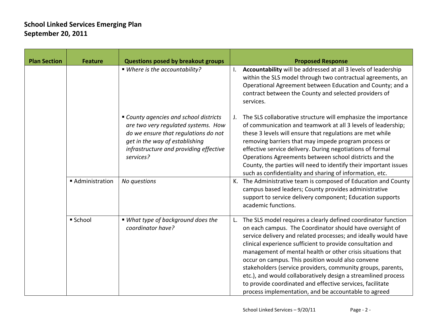| <b>Plan Section</b> | <b>Feature</b>   | Questions posed by breakout groups                                                                                                                                                                             | <b>Proposed Response</b>                                                                                                                                                                                                                                                                                                                                                                                                                                                                                                                                                                                                                 |
|---------------------|------------------|----------------------------------------------------------------------------------------------------------------------------------------------------------------------------------------------------------------|------------------------------------------------------------------------------------------------------------------------------------------------------------------------------------------------------------------------------------------------------------------------------------------------------------------------------------------------------------------------------------------------------------------------------------------------------------------------------------------------------------------------------------------------------------------------------------------------------------------------------------------|
|                     |                  | ■ Where is the accountability?                                                                                                                                                                                 | Accountability will be addressed at all 3 levels of leadership<br>I.<br>within the SLS model through two contractual agreements, an<br>Operational Agreement between Education and County; and a<br>contract between the County and selected providers of<br>services.                                                                                                                                                                                                                                                                                                                                                                   |
|                     |                  | " County agencies and school districts<br>are two very regulated systems. How<br>do we ensure that regulations do not<br>get in the way of establishing<br>infrastructure and providing effective<br>services? | The SLS collaborative structure will emphasize the importance<br>J.<br>of communication and teamwork at all 3 levels of leadership;<br>these 3 levels will ensure that regulations are met while<br>removing barriers that may impede program process or<br>effective service delivery. During negotiations of formal<br>Operations Agreements between school districts and the<br>County, the parties will need to identify their important issues<br>such as confidentiality and sharing of information, etc.                                                                                                                          |
|                     | ■ Administration | No questions                                                                                                                                                                                                   | K. The Administrative team is composed of Education and County<br>campus based leaders; County provides administrative<br>support to service delivery component; Education supports<br>academic functions.                                                                                                                                                                                                                                                                                                                                                                                                                               |
|                     | ■ School         | ■ What type of background does the<br>coordinator have?                                                                                                                                                        | The SLS model requires a clearly defined coordinator function<br>L.<br>on each campus. The Coordinator should have oversight of<br>service delivery and related processes; and ideally would have<br>clinical experience sufficient to provide consultation and<br>management of mental health or other crisis situations that<br>occur on campus. This position would also convene<br>stakeholders (service providers, community groups, parents,<br>etc.), and would collaboratively design a streamlined process<br>to provide coordinated and effective services, facilitate<br>process implementation, and be accountable to agreed |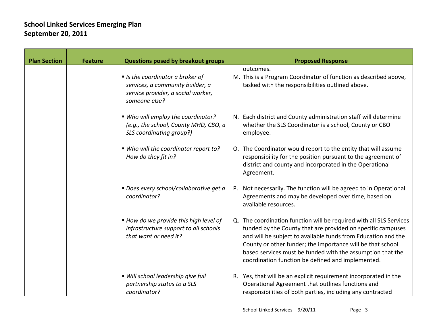| <b>Plan Section</b> | <b>Feature</b> | <b>Questions posed by breakout groups</b>                                                                                    | <b>Proposed Response</b>                                                                                                                                                                                                                                                                                                                                                             |
|---------------------|----------------|------------------------------------------------------------------------------------------------------------------------------|--------------------------------------------------------------------------------------------------------------------------------------------------------------------------------------------------------------------------------------------------------------------------------------------------------------------------------------------------------------------------------------|
|                     |                | If Is the coordinator a broker of<br>services, a community builder, a<br>service provider, a social worker,<br>someone else? | outcomes.<br>M. This is a Program Coordinator of function as described above,<br>tasked with the responsibilities outlined above.                                                                                                                                                                                                                                                    |
|                     |                | ■ Who will employ the coordinator?<br>(e.g., the school, County MHD, CBO, a<br>SLS coordinating group?)                      | N. Each district and County administration staff will determine<br>whether the SLS Coordinator is a school, County or CBO<br>employee.                                                                                                                                                                                                                                               |
|                     |                | ■ Who will the coordinator report to?<br>How do they fit in?                                                                 | O. The Coordinator would report to the entity that will assume<br>responsibility for the position pursuant to the agreement of<br>district and county and incorporated in the Operational<br>Agreement.                                                                                                                                                                              |
|                     |                | ■ Does every school/collaborative get a<br>coordinator?                                                                      | Not necessarily. The function will be agreed to in Operational<br>P.<br>Agreements and may be developed over time, based on<br>available resources.                                                                                                                                                                                                                                  |
|                     |                | ■ How do we provide this high level of<br>infrastructure support to all schools<br>that want or need it?                     | Q. The coordination function will be required with all SLS Services<br>funded by the County that are provided on specific campuses<br>and will be subject to available funds from Education and the<br>County or other funder; the importance will be that school<br>based services must be funded with the assumption that the<br>coordination function be defined and implemented. |
|                     |                | ■ Will school leadership give full<br>partnership status to a SLS<br>coordinator?                                            | R. Yes, that will be an explicit requirement incorporated in the<br>Operational Agreement that outlines functions and<br>responsibilities of both parties, including any contracted                                                                                                                                                                                                  |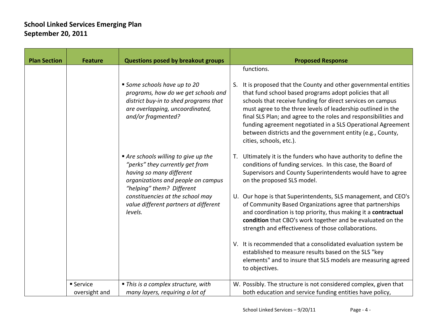| <b>Plan Section</b> | <b>Feature</b>             | <b>Questions posed by breakout groups</b>                                                                                                                                                                                                                    | <b>Proposed Response</b>                                                                                                                                                                                                                                                                                                                                                                                                                                                                                                                                                                                                                                                                                                                                |
|---------------------|----------------------------|--------------------------------------------------------------------------------------------------------------------------------------------------------------------------------------------------------------------------------------------------------------|---------------------------------------------------------------------------------------------------------------------------------------------------------------------------------------------------------------------------------------------------------------------------------------------------------------------------------------------------------------------------------------------------------------------------------------------------------------------------------------------------------------------------------------------------------------------------------------------------------------------------------------------------------------------------------------------------------------------------------------------------------|
|                     |                            | Some schools have up to 20<br>programs, how do we get schools and<br>district buy-in to shed programs that<br>are overlapping, uncoordinated,<br>and/or fragmented?                                                                                          | functions.<br>S. It is proposed that the County and other governmental entities<br>that fund school based programs adopt policies that all<br>schools that receive funding for direct services on campus<br>must agree to the three levels of leadership outlined in the<br>final SLS Plan; and agree to the roles and responsibilities and<br>funding agreement negotiated in a SLS Operational Agreement<br>between districts and the government entity (e.g., County,<br>cities, schools, etc.).                                                                                                                                                                                                                                                     |
|                     |                            | Are schools willing to give up the<br>"perks" they currently get from<br>having so many different<br>organizations and people on campus<br>"helping" them? Different<br>constituencies at the school may<br>value different partners at different<br>levels. | Ultimately it is the funders who have authority to define the<br>conditions of funding services. In this case, the Board of<br>Supervisors and County Superintendents would have to agree<br>on the proposed SLS model.<br>U. Our hope is that Superintendents, SLS management, and CEO's<br>of Community Based Organizations agree that partnerships<br>and coordination is top priority, thus making it a contractual<br>condition that CBO's work together and be evaluated on the<br>strength and effectiveness of those collaborations.<br>V. It is recommended that a consolidated evaluation system be<br>established to measure results based on the SLS "key<br>elements" and to insure that SLS models are measuring agreed<br>to objectives. |
|                     | ■ Service<br>oversight and | ■ This is a complex structure, with<br>many layers, requiring a lot of                                                                                                                                                                                       | W. Possibly. The structure is not considered complex, given that<br>both education and service funding entities have policy,                                                                                                                                                                                                                                                                                                                                                                                                                                                                                                                                                                                                                            |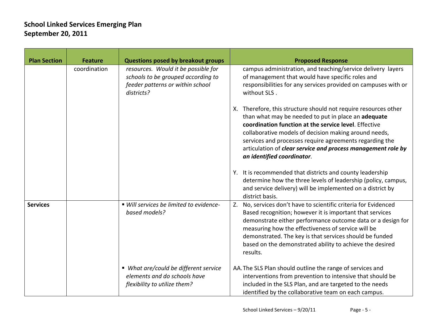| <b>Plan Section</b> | <b>Feature</b> | <b>Questions posed by breakout groups</b>                                                                                   | <b>Proposed Response</b>                                                                                                                                                                                                                                                                                                                                                                          |
|---------------------|----------------|-----------------------------------------------------------------------------------------------------------------------------|---------------------------------------------------------------------------------------------------------------------------------------------------------------------------------------------------------------------------------------------------------------------------------------------------------------------------------------------------------------------------------------------------|
|                     | coordination   | resources. Would it be possible for<br>schools to be grouped according to<br>feeder patterns or within school<br>districts? | campus administration, and teaching/service delivery layers<br>of management that would have specific roles and<br>responsibilities for any services provided on campuses with or<br>without SLS.                                                                                                                                                                                                 |
|                     |                |                                                                                                                             | X. Therefore, this structure should not require resources other<br>than what may be needed to put in place an adequate<br>coordination function at the service level. Effective<br>collaborative models of decision making around needs,<br>services and processes require agreements regarding the<br>articulation of clear service and process management role by<br>an identified coordinator. |
|                     |                |                                                                                                                             | Y. It is recommended that districts and county leadership<br>determine how the three levels of leadership (policy, campus,<br>and service delivery) will be implemented on a district by<br>district basis.                                                                                                                                                                                       |
| <b>Services</b>     |                | ■ Will services be limited to evidence-<br>based models?                                                                    | Z. No, services don't have to scientific criteria for Evidenced<br>Based recognition; however it is important that services<br>demonstrate either performance outcome data or a design for<br>measuring how the effectiveness of service will be<br>demonstrated. The key is that services should be funded<br>based on the demonstrated ability to achieve the desired<br>results.               |
|                     |                | ■ What are/could be different service<br>elements and do schools have<br>flexibility to utilize them?                       | AA. The SLS Plan should outline the range of services and<br>interventions from prevention to intensive that should be<br>included in the SLS Plan, and are targeted to the needs<br>identified by the collaborative team on each campus.                                                                                                                                                         |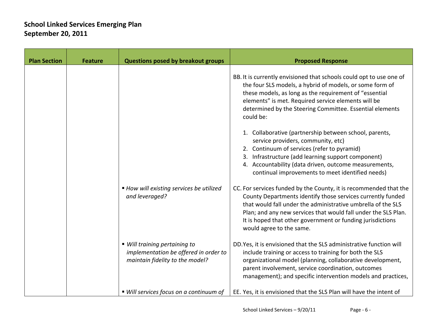| <b>Plan Section</b> | <b>Feature</b> | <b>Questions posed by breakout groups</b>                                                                 | <b>Proposed Response</b>                                                                                                                                                                                                                                                                                                                                     |
|---------------------|----------------|-----------------------------------------------------------------------------------------------------------|--------------------------------------------------------------------------------------------------------------------------------------------------------------------------------------------------------------------------------------------------------------------------------------------------------------------------------------------------------------|
|                     |                |                                                                                                           | BB. It is currently envisioned that schools could opt to use one of<br>the four SLS models, a hybrid of models, or some form of<br>these models, as long as the requirement of "essential<br>elements" is met. Required service elements will be<br>determined by the Steering Committee. Essential elements<br>could be:                                    |
|                     |                |                                                                                                           | 1. Collaborative (partnership between school, parents,<br>service providers, community, etc)<br>2. Continuum of services (refer to pyramid)<br>3. Infrastructure (add learning support component)<br>4. Accountability (data driven, outcome measurements,<br>continual improvements to meet identified needs)                                               |
|                     |                | ■ How will existing services be utilized<br>and leveraged?                                                | CC. For services funded by the County, it is recommended that the<br>County Departments identify those services currently funded<br>that would fall under the administrative umbrella of the SLS<br>Plan; and any new services that would fall under the SLS Plan.<br>It is hoped that other government or funding jurisdictions<br>would agree to the same. |
|                     |                | ■ Will training pertaining to<br>implementation be offered in order to<br>maintain fidelity to the model? | DD. Yes, it is envisioned that the SLS administrative function will<br>include training or access to training for both the SLS<br>organizational model (planning, collaborative development,<br>parent involvement, service coordination, outcomes<br>management); and specific intervention models and practices,                                           |
|                     |                | ■ Will services focus on a continuum of                                                                   | EE. Yes, it is envisioned that the SLS Plan will have the intent of                                                                                                                                                                                                                                                                                          |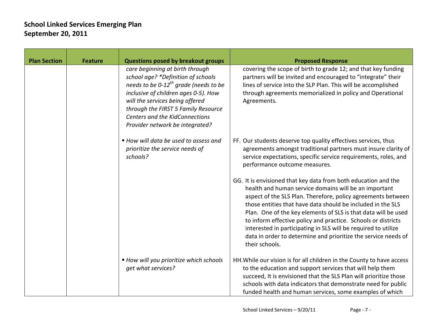| <b>Plan Section</b> | <b>Feature</b> | <b>Questions posed by breakout groups</b>                                                                                                                                                                                                                                                                         | <b>Proposed Response</b>                                                                                                                                                                                                                                                                                                                                                                                                                                                                                                                        |
|---------------------|----------------|-------------------------------------------------------------------------------------------------------------------------------------------------------------------------------------------------------------------------------------------------------------------------------------------------------------------|-------------------------------------------------------------------------------------------------------------------------------------------------------------------------------------------------------------------------------------------------------------------------------------------------------------------------------------------------------------------------------------------------------------------------------------------------------------------------------------------------------------------------------------------------|
|                     |                | care beginning at birth through<br>school age? *Definition of schools<br>needs to be 0-12 <sup>th</sup> grade (needs to be<br>inclusive of children ages 0-5). How<br>will the services being offered<br>through the FIRST 5 Family Resource<br>Centers and the KidConnections<br>Provider network be integrated? | covering the scope of birth to grade 12; and that key funding<br>partners will be invited and encouraged to "integrate" their<br>lines of service into the SLP Plan. This will be accomplished<br>through agreements memorialized in policy and Operational<br>Agreements.                                                                                                                                                                                                                                                                      |
|                     |                | ■ How will data be used to assess and<br>prioritize the service needs of<br>schools?                                                                                                                                                                                                                              | FF. Our students deserve top quality effectives services, thus<br>agreements amongst traditional partners must insure clarity of<br>service expectations, specific service requirements, roles, and<br>performance outcome measures.                                                                                                                                                                                                                                                                                                            |
|                     |                |                                                                                                                                                                                                                                                                                                                   | GG. It is envisioned that key data from both education and the<br>health and human service domains will be an important<br>aspect of the SLS Plan. Therefore, policy agreements between<br>those entities that have data should be included in the SLS<br>Plan. One of the key elements of SLS is that data will be used<br>to inform effective policy and practice. Schools or districts<br>interested in participating in SLS will be required to utilize<br>data in order to determine and prioritize the service needs of<br>their schools. |
|                     |                | ■ How will you prioritize which schools<br>get what services?                                                                                                                                                                                                                                                     | HH. While our vision is for all children in the County to have access<br>to the education and support services that will help them<br>succeed, It is envisioned that the SLS Plan will prioritize those<br>schools with data indicators that demonstrate need for public<br>funded health and human services, some examples of which                                                                                                                                                                                                            |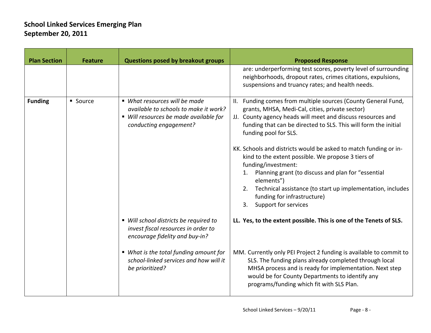| <b>Plan Section</b> | <b>Feature</b> | <b>Questions posed by breakout groups</b>                                                                                                  | <b>Proposed Response</b>                                                                                                                                                                                                                                                                                                                                                                                                                                                                                                                                                                                  |
|---------------------|----------------|--------------------------------------------------------------------------------------------------------------------------------------------|-----------------------------------------------------------------------------------------------------------------------------------------------------------------------------------------------------------------------------------------------------------------------------------------------------------------------------------------------------------------------------------------------------------------------------------------------------------------------------------------------------------------------------------------------------------------------------------------------------------|
|                     |                |                                                                                                                                            | are: underperforming test scores, poverty level of surrounding<br>neighborhoods, dropout rates, crimes citations, expulsions,<br>suspensions and truancy rates; and health needs.                                                                                                                                                                                                                                                                                                                                                                                                                         |
| <b>Funding</b>      | • Source       | ■ What resources will be made<br>available to schools to make it work?<br>■ Will resources be made available for<br>conducting engagement? | II. Funding comes from multiple sources (County General Fund,<br>grants, MHSA, Medi-Cal, cities, private sector)<br>JJ. County agency heads will meet and discuss resources and<br>funding that can be directed to SLS. This will form the initial<br>funding pool for SLS.<br>KK. Schools and districts would be asked to match funding or in-<br>kind to the extent possible. We propose 3 tiers of<br>funding/investment:<br>Planning grant (to discuss and plan for "essential<br>1.<br>elements")<br>Technical assistance (to start up implementation, includes<br>2.<br>funding for infrastructure) |
|                     |                | ■ Will school districts be required to<br>invest fiscal resources in order to<br>encourage fidelity and buy-in?                            | Support for services<br>3.<br>LL. Yes, to the extent possible. This is one of the Tenets of SLS.                                                                                                                                                                                                                                                                                                                                                                                                                                                                                                          |
|                     |                | ■ What is the total funding amount for<br>school-linked services and how will it<br>be prioritized?                                        | MM. Currently only PEI Project 2 funding is available to commit to<br>SLS. The funding plans already completed through local<br>MHSA process and is ready for implementation. Next step<br>would be for County Departments to identify any<br>programs/funding which fit with SLS Plan.                                                                                                                                                                                                                                                                                                                   |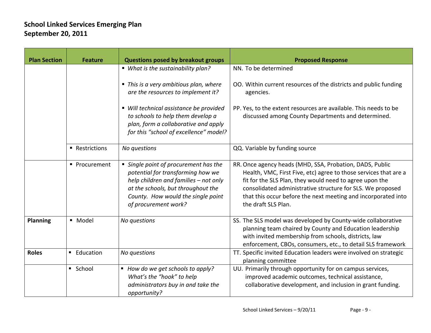| <b>Plan Section</b> | <b>Feature</b>   | <b>Questions posed by breakout groups</b>                                                                                                                                                                               | <b>Proposed Response</b>                                                                                                                                                                                                                                                                                                                      |
|---------------------|------------------|-------------------------------------------------------------------------------------------------------------------------------------------------------------------------------------------------------------------------|-----------------------------------------------------------------------------------------------------------------------------------------------------------------------------------------------------------------------------------------------------------------------------------------------------------------------------------------------|
|                     |                  | ■ What is the sustainability plan?                                                                                                                                                                                      | NN. To be determined                                                                                                                                                                                                                                                                                                                          |
|                     |                  | • This is a very ambitious plan, where<br>are the resources to implement it?                                                                                                                                            | OO. Within current resources of the districts and public funding<br>agencies.                                                                                                                                                                                                                                                                 |
|                     |                  | • Will technical assistance be provided<br>to schools to help them develop a<br>plan, form a collaborative and apply<br>for this "school of excellence" model?                                                          | PP. Yes, to the extent resources are available. This needs to be<br>discussed among County Departments and determined.                                                                                                                                                                                                                        |
|                     | ■ Restrictions   | No questions                                                                                                                                                                                                            | QQ. Variable by funding source                                                                                                                                                                                                                                                                                                                |
|                     | ■ Procurement    | • Single point of procurement has the<br>potential for transforming how we<br>help children and families - not only<br>at the schools, but throughout the<br>County. How would the single point<br>of procurement work? | RR. Once agency heads (MHD, SSA, Probation, DADS, Public<br>Health, VMC, First Five, etc) agree to those services that are a<br>fit for the SLS Plan, they would need to agree upon the<br>consolidated administrative structure for SLS. We proposed<br>that this occur before the next meeting and incorporated into<br>the draft SLS Plan. |
| <b>Planning</b>     | · Model          | No questions                                                                                                                                                                                                            | SS. The SLS model was developed by County-wide collaborative<br>planning team chaired by County and Education leadership<br>with invited membership from schools, districts, law<br>enforcement, CBOs, consumers, etc., to detail SLS framework                                                                                               |
| <b>Roles</b>        | <b>Education</b> | No questions                                                                                                                                                                                                            | TT. Specific invited Education leaders were involved on strategic<br>planning committee                                                                                                                                                                                                                                                       |
|                     | ■ School         | ■ How do we get schools to apply?<br>What's the "hook" to help<br>administrators buy in and take the<br>opportunity?                                                                                                    | UU. Primarily through opportunity for on campus services,<br>improved academic outcomes, technical assistance,<br>collaborative development, and inclusion in grant funding.                                                                                                                                                                  |